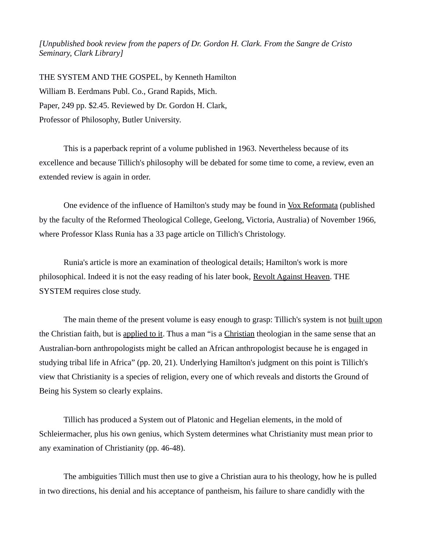*[Unpublished book review from the papers of Dr. Gordon H. Clark. From the Sangre de Cristo Seminary, Clark Library]*

THE SYSTEM AND THE GOSPEL, by Kenneth Hamilton William B. Eerdmans Publ. Co., Grand Rapids, Mich. Paper, 249 pp. \$2.45. Reviewed by Dr. Gordon H. Clark, Professor of Philosophy, Butler University.

This is a paperback reprint of a volume published in 1963. Nevertheless because of its excellence and because Tillich's philosophy will be debated for some time to come, a review, even an extended review is again in order.

One evidence of the influence of Hamilton's study may be found in Vox Reformata (published by the faculty of the Reformed Theological College, Geelong, Victoria, Australia) of November 1966, where Professor Klass Runia has a 33 page article on Tillich's Christology.

Runia's article is more an examination of theological details; Hamilton's work is more philosophical. Indeed it is not the easy reading of his later book, Revolt Against Heaven. THE SYSTEM requires close study.

The main theme of the present volume is easy enough to grasp: Tillich's system is not built upon the Christian faith, but is applied to it. Thus a man "is a Christian theologian in the same sense that an Australian-born anthropologists might be called an African anthropologist because he is engaged in studying tribal life in Africa" (pp. 20, 21). Underlying Hamilton's judgment on this point is Tillich's view that Christianity is a species of religion, every one of which reveals and distorts the Ground of Being his System so clearly explains.

Tillich has produced a System out of Platonic and Hegelian elements, in the mold of Schleiermacher, plus his own genius, which System determines what Christianity must mean prior to any examination of Christianity (pp. 46-48).

The ambiguities Tillich must then use to give a Christian aura to his theology, how he is pulled in two directions, his denial and his acceptance of pantheism, his failure to share candidly with the